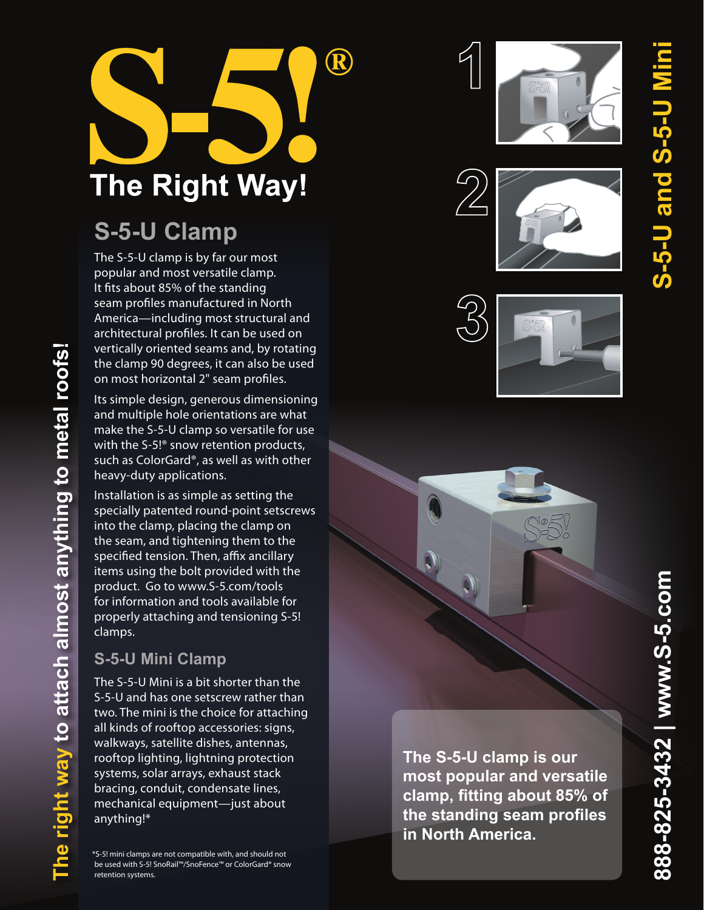

# **S-5-U Clamp**

The S-5-U clamp is by far our most popular and most versatile clamp. It fits about 85% of the standing seam profiles manufactured in North America—including most structural and architectural profiles. It can be used on vertically oriented seams and, by rotating the clamp 90 degrees, it can also be used on most horizontal 2" seam profiles.

Its simple design, generous dimensioning and multiple hole orientations are what make the S-5-U clamp so versatile for use with the S-5!® snow retention products, such as ColorGard®, as well as with other heavy-duty applications.

Installation is as simple as setting the specially patented round-point setscrews into the clamp, placing the clamp on the seam, and tightening them to the specified tension. Then, affix ancillary items using the bolt provided with the product. Go to www.S-5.com/tools for information and tools available for properly attaching and tensioning S-5! clamps.

## **S-5-U Mini Clamp**

The S-5-U Mini is a bit shorter than the S-5-U and has one setscrew rather than two. The mini is the choice for attaching all kinds of rooftop accessories: signs, walkways, satellite dishes, antennas, rooftop lighting, lightning protection systems, solar arrays, exhaust stack bracing, conduit, condensate lines, mechanical equipment—just about anything!\*

\*S-5! mini clamps are not compatible with, and should not be used with S-5! SnoRail™/SnoFence™ or ColorGard® snow retention systems.









**The S-5-U clamp is our most popular and versatile clamp, fitting about 85% of the standing seam profiles in North America.**

**S-5-U and S-5-U Mini**

S-5-U and S-5-U N